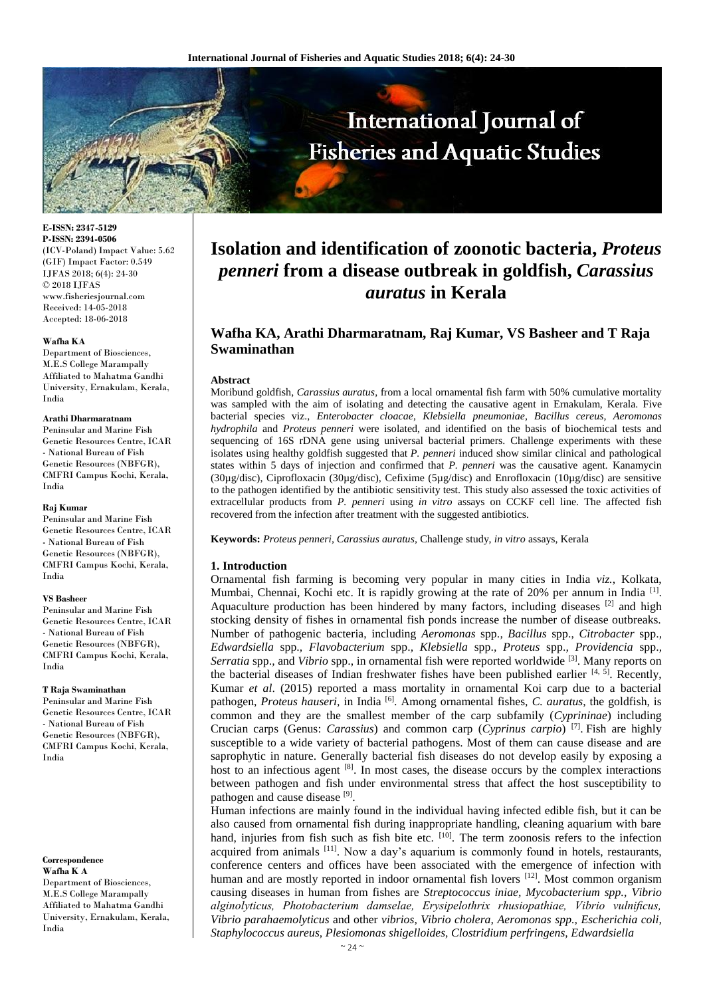

**E-ISSN: 2347-5129 P-ISSN: 2394-0506** (ICV-Poland) Impact Value: 5.62 (GIF) Impact Factor: 0.549 IJFAS 2018; 6(4): 24-30 © 2018 IJFAS www.fisheriesjournal.com Received: 14-05-2018 Accepted: 18-06-2018

#### **Wafha KA**

Department of Biosciences, M.E.S College Marampally Affiliated to Mahatma Gandhi University, Ernakulam, Kerala, India

#### **Arathi Dharmaratnam**

Peninsular and Marine Fish Genetic Resources Centre, ICAR - National Bureau of Fish Genetic Resources (NBFGR), CMFRI Campus Kochi, Kerala, India

#### **Raj Kumar**

Peninsular and Marine Fish Genetic Resources Centre, ICAR - National Bureau of Fish Genetic Resources (NBFGR), CMFRI Campus Kochi, Kerala, India

#### **VS Basheer**

Peninsular and Marine Fish Genetic Resources Centre, ICAR - National Bureau of Fish Genetic Resources (NBFGR), CMFRI Campus Kochi, Kerala, India

#### **T Raja Swaminathan**

Peninsular and Marine Fish Genetic Resources Centre, ICAR - National Bureau of Fish Genetic Resources (NBFGR), CMFRI Campus Kochi, Kerala, India

**Correspondence Wafha K A** Department of Biosciences, M.E.S College Marampally Affiliated to Mahatma Gandhi University, Ernakulam, Kerala, India

# **Isolation and identification of zoonotic bacteria,** *Proteus penneri* **from a disease outbreak in goldfish,** *Carassius auratus* **in Kerala**

## **Wafha KA, Arathi Dharmaratnam, Raj Kumar, VS Basheer and T Raja Swaminathan**

#### **Abstract**

Moribund goldfish, *Carassius auratus*, from a local ornamental fish farm with 50% cumulative mortality was sampled with the aim of isolating and detecting the causative agent in Ernakulam, Kerala. Five bacterial species viz., *Enterobacter cloacae*, *Klebsiella pneumoniae, Bacillus cereus, Aeromonas hydrophila* and *Proteus penneri* were isolated, and identified on the basis of biochemical tests and sequencing of 16S rDNA gene using universal bacterial primers. Challenge experiments with these isolates using healthy goldfish suggested that *P. penneri* induced show similar clinical and pathological states within 5 days of injection and confirmed that *P. penneri* was the causative agent*.* Kanamycin (30µg/disc), Ciprofloxacin (30µg/disc), Cefixime (5µg/disc) and Enrofloxacin (10µg/disc) are sensitive to the pathogen identified by the antibiotic sensitivity test. This study also assessed the toxic activities of extracellular products from *P. penneri* using *in vitro* assays on CCKF cell line. The affected fish recovered from the infection after treatment with the suggested antibiotics.

**Keywords:** *Proteus penneri, Carassius auratus,* Challenge study, *in vitro* assays, Kerala

#### **1. Introduction**

Ornamental fish farming is becoming very popular in many cities in India *viz.*, Kolkata, Mumbai, Chennai, Kochi etc. It is rapidly growing at the rate of 20% per annum in India<sup>[1]</sup>. Aquaculture production has been hindered by many factors, including diseases  $[2]$  and high stocking density of fishes in ornamental fish ponds increase the number of disease outbreaks. Number of pathogenic bacteria, including *Aeromonas* spp.*, Bacillus* spp., *Citrobacter* spp.*, Edwardsiella* spp.*, Flavobacterium* spp.*, Klebsiella* spp.*, Proteus* spp.*, Providencia* spp.*, Serratia* spp.*,* and *Vibrio* spp., in ornamental fish were reported worldwide [3]. Many reports on the bacterial diseases of Indian freshwater fishes have been published earlier  $[4, 5]$ . Recently, Kumar *et al*. (2015) reported a mass mortality in ornamental Koi carp due to a bacterial pathogen, *Proteus hauseri*, in India <sup>[6]</sup>. Among ornamental fishes, *C. auratus*, the goldfish, is common and they are the smallest member of the carp subfamily (*Cyprininae*) including Crucian carps (Genus: *Carassius*) and common carp (*Cyprinus carpio*) [7] . Fish are highly susceptible to a wide variety of bacterial pathogens. Most of them can cause disease and are saprophytic in nature. Generally bacterial fish diseases do not develop easily by exposing a host to an infectious agent <sup>[8]</sup>. In most cases, the disease occurs by the complex interactions between pathogen and fish under environmental stress that affect the host susceptibility to pathogen and cause disease [9].

Human infections are mainly found in the individual having infected edible fish, but it can be also caused from ornamental fish during inappropriate handling, cleaning aquarium with bare hand, injuries from fish such as fish bite etc.  $[10]$ . The term zoonosis refers to the infection acquired from animals [11]. Now a day's aquarium is commonly found in hotels, restaurants, conference centers and offices have been associated with the emergence of infection with human and are mostly reported in indoor ornamental fish lovers  $[12]$ . Most common organism causing diseases in human from fishes are *Streptococcus iniae, Mycobacterium spp., Vibrio alginolyticus, Photobacterium damselae, Erysipelothrix rhusiopathiae, Vibrio vulnificus, Vibrio parahaemolyticus* and other *vibrios, Vibrio cholera, Aeromonas spp., Escherichia coli, Staphylococcus aureus, Plesiomonas shigelloides, Clostridium perfringens, Edwardsiella*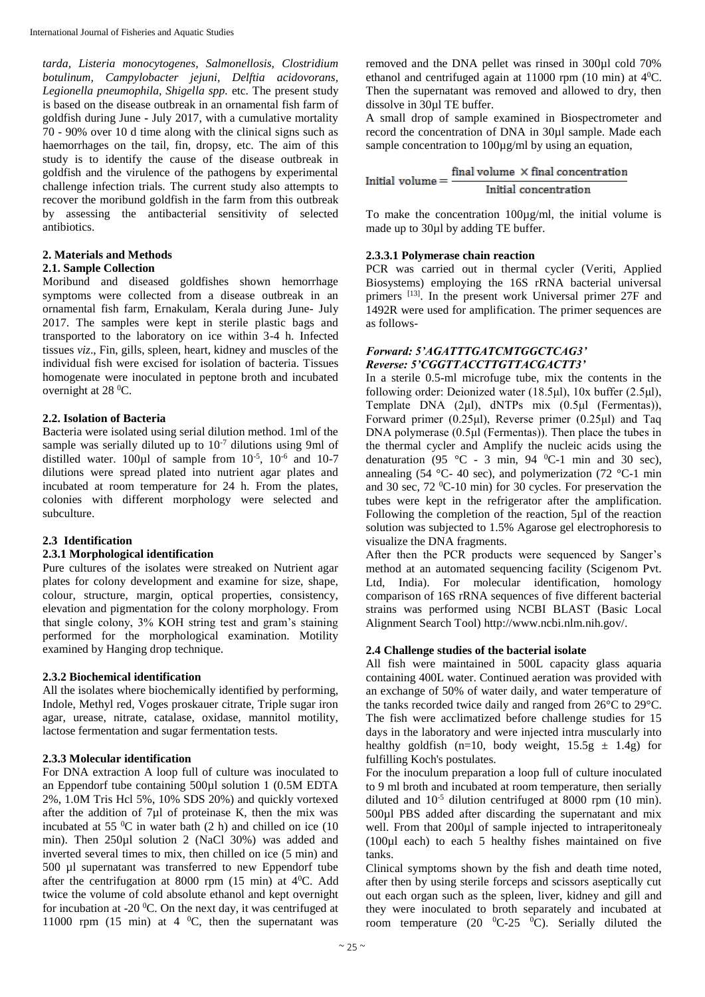*tarda, Listeria monocytogenes, Salmonellosis, Clostridium botulinum, Campylobacter jejuni, Delftia acidovorans, Legionella pneumophila, Shigella spp.* etc. The present study is based on the disease outbreak in an ornamental fish farm of goldfish during June **-** July 2017, with a cumulative mortality 70 - 90% over 10 d time along with the clinical signs such as haemorrhages on the tail, fin, dropsy, etc. The aim of this study is to identify the cause of the disease outbreak in goldfish and the virulence of the pathogens by experimental challenge infection trials. The current study also attempts to recover the moribund goldfish in the farm from this outbreak by assessing the antibacterial sensitivity of selected antibiotics.

## **2. Materials and Methods**

#### **2.1. Sample Collection**

Moribund and diseased goldfishes shown hemorrhage symptoms were collected from a disease outbreak in an ornamental fish farm, Ernakulam, Kerala during June- July 2017. The samples were kept in sterile plastic bags and transported to the laboratory on ice within 3-4 h. Infected tissues *viz*., Fin, gills, spleen, heart, kidney and muscles of the individual fish were excised for isolation of bacteria. Tissues homogenate were inoculated in peptone broth and incubated overnight at 28 <sup>0</sup>C.

### **2.2. Isolation of Bacteria**

Bacteria were isolated using serial dilution method. 1ml of the sample was serially diluted up to  $10^{-7}$  dilutions using 9ml of distilled water.  $100\mu l$  of sample from  $10^{-5}$ ,  $10^{-6}$  and  $10-7$ dilutions were spread plated into nutrient agar plates and incubated at room temperature for 24 h. From the plates, colonies with different morphology were selected and subculture.

### **2.3 Identification**

### **2.3.1 Morphological identification**

Pure cultures of the isolates were streaked on Nutrient agar plates for colony development and examine for size, shape, colour, structure, margin, optical properties, consistency, elevation and pigmentation for the colony morphology. From that single colony, 3% KOH string test and gram's staining performed for the morphological examination. Motility examined by Hanging drop technique.

### **2.3.2 Biochemical identification**

All the isolates where biochemically identified by performing, Indole, Methyl red, Voges proskauer citrate, Triple sugar iron agar, urease, nitrate, catalase, oxidase, mannitol motility, lactose fermentation and sugar fermentation tests.

### **2.3.3 Molecular identification**

For DNA extraction A loop full of culture was inoculated to an Eppendorf tube containing 500µl solution 1 (0.5M EDTA 2%, 1.0M Tris Hcl 5%, 10% SDS 20%) and quickly vortexed after the addition of 7µl of proteinase K, then the mix was incubated at 55 $\mathrm{^{0}C}$  in water bath (2 h) and chilled on ice (10) min). Then 250µl solution 2 (NaCl 30%) was added and inverted several times to mix, then chilled on ice (5 min) and 500 µl supernatant was transferred to new Eppendorf tube after the centrifugation at 8000 rpm  $(15 \text{ min})$  at  $4^{\circ}$ C. Add twice the volume of cold absolute ethanol and kept overnight for incubation at -20 $\mathrm{^0C}$ . On the next day, it was centrifuged at 11000 rpm (15 min) at  $4\degree$ °C, then the supernatant was removed and the DNA pellet was rinsed in 300µl cold 70% ethanol and centrifuged again at  $11000$  rpm (10 min) at  $4^0C$ . Then the supernatant was removed and allowed to dry, then dissolve in 30µl TE buffer.

A small drop of sample examined in Biospectrometer and record the concentration of DNA in 30µl sample. Made each sample concentration to 100µg/ml by using an equation,

Initial volume  $=$   $\frac{\text{final volume} \times \text{final concentration}}{\text{Initial concentration}}$ Initial concentration

To make the concentration 100µg/ml, the initial volume is made up to 30µl by adding TE buffer.

### **2.3.3.1 Polymerase chain reaction**

PCR was carried out in thermal cycler (Veriti, Applied Biosystems) employing the 16S rRNA bacterial universal primers [13]. In the present work Universal primer 27F and 1492R were used for amplification. The primer sequences are as follows-

#### *Forward: 5'AGATTTGATCMTGGCTCAG3' Reverse: 5'CGGTTACCTTGTTACGACTT3'*

In a sterile 0.5-ml microfuge tube, mix the contents in the following order: Deionized water (18.5μl), 10x buffer (2.5μl), Template DNA (2μl), dNTPs mix (0.5μl (Fermentas)), Forward primer (0.25μl), Reverse primer (0.25μl) and Taq DNA polymerase (0.5μl (Fermentas)). Then place the tubes in the thermal cycler and Amplify the nucleic acids using the denaturation (95 °C - 3 min, 94 °C-1 min and 30 sec), annealing (54 °C- 40 sec), and polymerization (72 °C-1 min and 30 sec,  $72 \text{ °C-10 min}$  for 30 cycles. For preservation the tubes were kept in the refrigerator after the amplification. Following the completion of the reaction, 5µl of the reaction solution was subjected to 1.5% Agarose gel electrophoresis to visualize the DNA fragments.

After then the PCR products were sequenced by Sanger's method at an automated sequencing facility (Scigenom Pvt. Ltd, India). For molecular identification, homology comparison of 16S rRNA sequences of five different bacterial strains was performed using NCBI BLAST (Basic Local Alignment Search Tool) http://www.ncbi.nlm.nih.gov/.

### **2.4 Challenge studies of the bacterial isolate**

All fish were maintained in 500L capacity glass aquaria containing 400L water. Continued aeration was provided with an exchange of 50% of water daily, and water temperature of the tanks recorded twice daily and ranged from 26°C to 29°C. The fish were acclimatized before challenge studies for 15 days in the laboratory and were injected intra muscularly into healthy goldfish (n=10, body weight,  $15.5g \pm 1.4g$ ) for fulfilling Koch's postulates.

For the inoculum preparation a loop full of culture inoculated to 9 ml broth and incubated at room temperature, then serially diluted and  $10^{-5}$  dilution centrifuged at 8000 rpm (10 min). 500 $\mu$ l PBS added after discarding the supernatant and mix well. From that 200 $\mu$ l of sample injected to intraperitonealy (100µl each) to each 5 healthy fishes maintained on five tanks.

Clinical symptoms shown by the fish and death time noted, after then by using sterile forceps and scissors aseptically cut out each organ such as the spleen, liver, kidney and gill and they were inoculated to broth separately and incubated at room temperature (20  $^0C-25$   $^0C$ ). Serially diluted the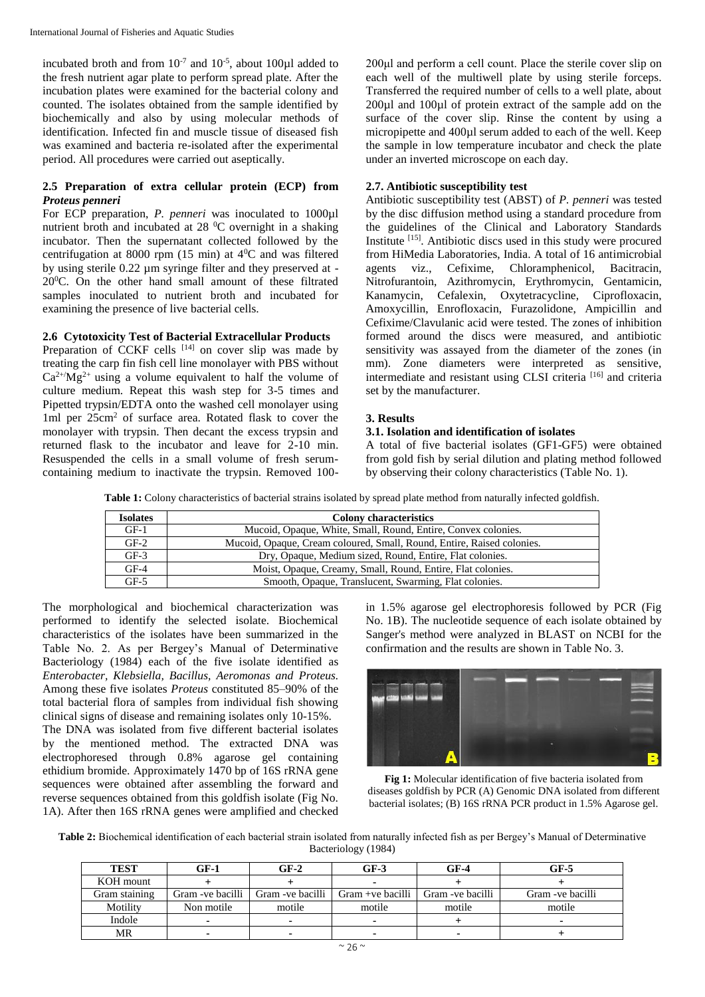incubated broth and from  $10^{-7}$  and  $10^{-5}$ , about 100 $\mu$ l added to the fresh nutrient agar plate to perform spread plate. After the incubation plates were examined for the bacterial colony and counted. The isolates obtained from the sample identified by biochemically and also by using molecular methods of identification. Infected fin and muscle tissue of diseased fish was examined and bacteria re-isolated after the experimental period. All procedures were carried out aseptically.

## **2.5 Preparation of extra cellular protein (ECP) from** *Proteus penneri*

For ECP preparation, *P. penneri* was inoculated to 1000µl nutrient broth and incubated at 28 <sup>0</sup>C overnight in a shaking incubator. Then the supernatant collected followed by the centrifugation at 8000 rpm (15 min) at 4<sup>0</sup>C and was filtered by using sterile 0.22  $\mu$ m syringe filter and they preserved at - $20^0$ C. On the other hand small amount of these filtrated samples inoculated to nutrient broth and incubated for examining the presence of live bacterial cells.

## **2.6 Cytotoxicity Test of Bacterial Extracellular Products**

Preparation of CCKF cells [14] on cover slip was made by treating the carp fin fish cell line monolayer with PBS without  $Ca^{2+}/Mg^{2+}$  using a volume equivalent to half the volume of culture medium. Repeat this wash step for 3-5 times and Pipetted trypsin/EDTA onto the washed cell monolayer using 1ml per 25cm<sup>2</sup> of surface area. Rotated flask to cover the monolayer with trypsin. Then decant the excess trypsin and returned flask to the incubator and leave for 2-10 min. Resuspended the cells in a small volume of fresh serumcontaining medium to inactivate the trypsin. Removed 100200μl and perform a cell count. Place the sterile cover slip on each well of the multiwell plate by using sterile forceps. Transferred the required number of cells to a well plate, about 200µl and 100µl of protein extract of the sample add on the surface of the cover slip. Rinse the content by using a micropipette and 400µl serum added to each of the well. Keep the sample in low temperature incubator and check the plate under an inverted microscope on each day.

## **2.7. Antibiotic susceptibility test**

Antibiotic susceptibility test (ABST) of *P. penneri* was tested by the disc diffusion method using a standard procedure from the guidelines of the Clinical and Laboratory Standards Institute [15]. Antibiotic discs used in this study were procured from HiMedia Laboratories, India. A total of 16 antimicrobial agents viz., Cefixime, Chloramphenicol, Bacitracin, Nitrofurantoin, Azithromycin, Erythromycin, Gentamicin, Kanamycin, Cefalexin, Oxytetracycline, Ciprofloxacin, Amoxycillin, Enrofloxacin, Furazolidone, Ampicillin and Cefixime/Clavulanic acid were tested. The zones of inhibition formed around the discs were measured, and antibiotic sensitivity was assayed from the diameter of the zones (in mm). Zone diameters were interpreted as sensitive, intermediate and resistant using CLSI criteria [16] and criteria set by the manufacturer.

## **3. Results**

## **3.1. Isolation and identification of isolates**

A total of five bacterial isolates (GF1-GF5) were obtained from gold fish by serial dilution and plating method followed by observing their colony characteristics (Table No. 1).

**Table 1:** Colony characteristics of bacterial strains isolated by spread plate method from naturally infected goldfish.

| <b>Isolates</b> | <b>Colony characteristics</b>                                          |
|-----------------|------------------------------------------------------------------------|
| $GF-1$          | Mucoid, Opaque, White, Small, Round, Entire, Convex colonies.          |
| $GF-2$          | Mucoid, Opaque, Cream coloured, Small, Round, Entire, Raised colonies. |
| $GF-3$          | Dry, Opaque, Medium sized, Round, Entire, Flat colonies.               |
| $GF-4$          | Moist, Opaque, Creamy, Small, Round, Entire, Flat colonies.            |
| $GF-5$          | Smooth, Opaque, Translucent, Swarming, Flat colonies.                  |

The morphological and biochemical characterization was performed to identify the selected isolate. Biochemical characteristics of the isolates have been summarized in the Table No. 2. As per Bergey's Manual of Determinative Bacteriology (1984) each of the five isolate identified as *Enterobacter, Klebsiella, Bacillus, Aeromonas and Proteus.*  Among these five isolates *Proteus* constituted 85–90% of the total bacterial flora of samples from individual fish showing clinical signs of disease and remaining isolates only 10-15%. The DNA was isolated from five different bacterial isolates by the mentioned method. The extracted DNA was electrophoresed through 0.8% agarose gel containing ethidium bromide. Approximately 1470 bp of 16S rRNA gene sequences were obtained after assembling the forward and reverse sequences obtained from this goldfish isolate (Fig No. 1A). After then 16S rRNA genes were amplified and checked

in 1.5% agarose gel electrophoresis followed by PCR (Fig No. 1B). The nucleotide sequence of each isolate obtained by Sanger's method were analyzed in BLAST on NCBI for the confirmation and the results are shown in Table No. 3.



**Fig 1:** Molecular identification of five bacteria isolated from diseases goldfish by PCR (A) Genomic DNA isolated from different bacterial isolates; (B) 16S rRNA PCR product in 1.5% Agarose gel.

**Table 2:** Biochemical identification of each bacterial strain isolated from naturally infected fish as per Bergey's Manual of Determinative Bacteriology (1984)

| <b>TEST</b>   | $GF-1$            | $GF-2$            | $GF-3$                   | $GF-4$           | GF-5              |
|---------------|-------------------|-------------------|--------------------------|------------------|-------------------|
| KOH mount     |                   |                   |                          |                  |                   |
| Gram staining | Gram - ve bacilli | Gram - ve bacilli | Gram +ve bacilli         | Gram -ve bacilli | Gram - ve bacilli |
| Motility      | Non motile        | motile            | motile                   | motile           | motile            |
| Indole        | -                 |                   | $\overline{\phantom{a}}$ |                  |                   |
| MR            | ۰                 |                   | $\blacksquare$           |                  |                   |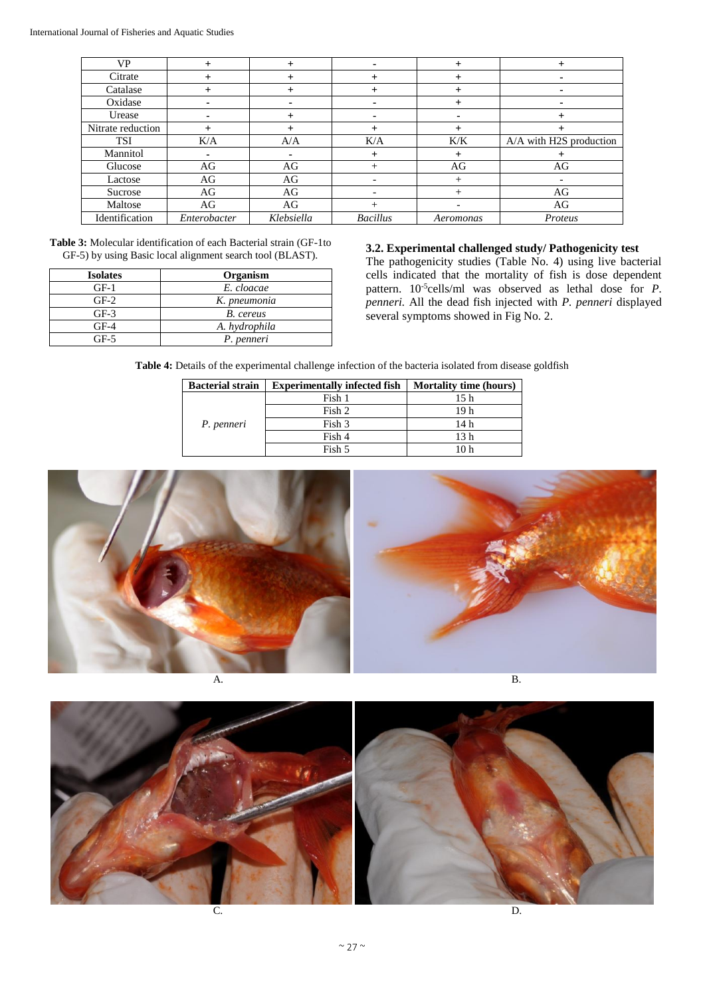| <b>VP</b>         | +              | $\overline{+}$ | ٠                        |           |                         |
|-------------------|----------------|----------------|--------------------------|-----------|-------------------------|
| Citrate           |                | $^{+}$         | $^{+}$                   | $\,{}^+$  | $\blacksquare$          |
| Catalase          |                |                | $\,{}^+$                 |           | ۰                       |
| Oxidase           | $\blacksquare$ |                | ۰                        | $\,{}^+$  | $\blacksquare$          |
| Urease            | ۰              |                | ۰                        |           | $^+$                    |
| Nitrate reduction |                |                | $^{+}$                   | $\,{}^+$  |                         |
| <b>TSI</b>        | K/A            | A/A            | K/A                      | K/K       | A/A with H2S production |
| Mannitol          |                |                | $+$                      | $\pm$     |                         |
| Glucose           | AG             | AG             | $^{+}$                   | AG        | AG                      |
| Lactose           | AG             | AG             |                          |           |                         |
| Sucrose           | AG             | AG             | $\overline{\phantom{0}}$ |           | AG                      |
| Maltose           | AG             | AG             | $^{+}$                   |           | AG                      |
| Identification    | Enterobacter   | Klebsiella     | <b>Bacillus</b>          | Aeromonas | Proteus                 |

**Table 3:** Molecular identification of each Bacterial strain (GF-1to GF-5) by using Basic local alignment search tool (BLAST).

| <b>Isolates</b> | Organism      |
|-----------------|---------------|
| $GF-1$          | E. cloacae    |
| $GF-2$          | K. pneumonia  |
| $GF-3$          | B. cereus     |
| $GF-4$          | A. hydrophila |
| GF-5            | P. penneri    |

#### **3.2. Experimental challenged study/ Pathogenicity test**

The pathogenicity studies (Table No. 4) using live bacterial cells indicated that the mortality of fish is dose dependent pattern. 10-5 cells/ml was observed as lethal dose for *P. penneri.* All the dead fish injected with *P. penneri* displayed several symptoms showed in Fig No. 2.

**Table 4:** Details of the experimental challenge infection of the bacteria isolated from disease goldfish

| <b>Bacterial strain</b> | <b>Experimentally infected fish</b> | <b>Mortality time (hours)</b> |  |
|-------------------------|-------------------------------------|-------------------------------|--|
|                         | Fish 1                              | 15 h                          |  |
|                         | Fish 2                              | 19 h                          |  |
| P. penneri              | Fish 3                              | 14h                           |  |
|                         | Fish 4                              | 13 h                          |  |
|                         | Fish 5                              |                               |  |



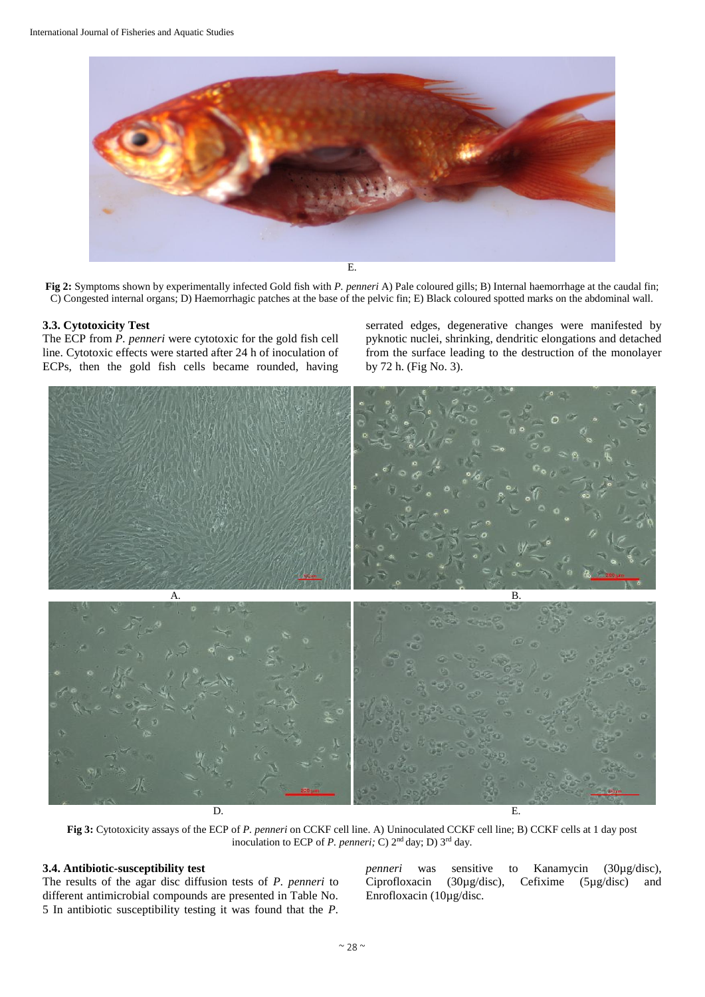

**Fig 2:** Symptoms shown by experimentally infected Gold fish with *P. penneri* A) Pale coloured gills; B) Internal haemorrhage at the caudal fin; C) Congested internal organs; D) Haemorrhagic patches at the base of the pelvic fin; E) Black coloured spotted marks on the abdominal wall.

#### **3.3. Cytotoxicity Test**

The ECP from *P. penneri* were cytotoxic for the gold fish cell line. Cytotoxic effects were started after 24 h of inoculation of ECPs, then the gold fish cells became rounded, having serrated edges, degenerative changes were manifested by pyknotic nuclei, shrinking, dendritic elongations and detached from the surface leading to the destruction of the monolayer by 72 h. (Fig No. 3).



**Fig 3:** Cytotoxicity assays of the ECP of *P. penneri* on CCKF cell line. A) Uninoculated CCKF cell line; B) CCKF cells at 1 day post inoculation to ECP of *P. penneri;* C) 2nd day; D) 3rd day.

## **3.4. Antibiotic-susceptibility test**

The results of the agar disc diffusion tests of *P. penneri* to different antimicrobial compounds are presented in Table No. 5 In antibiotic susceptibility testing it was found that the *P.* 

*penneri* was sensitive to Kanamycin (30µg/disc), Ciprofloxacin (30µg/disc), Cefixime (5µg/disc) and Enrofloxacin (10µg/disc.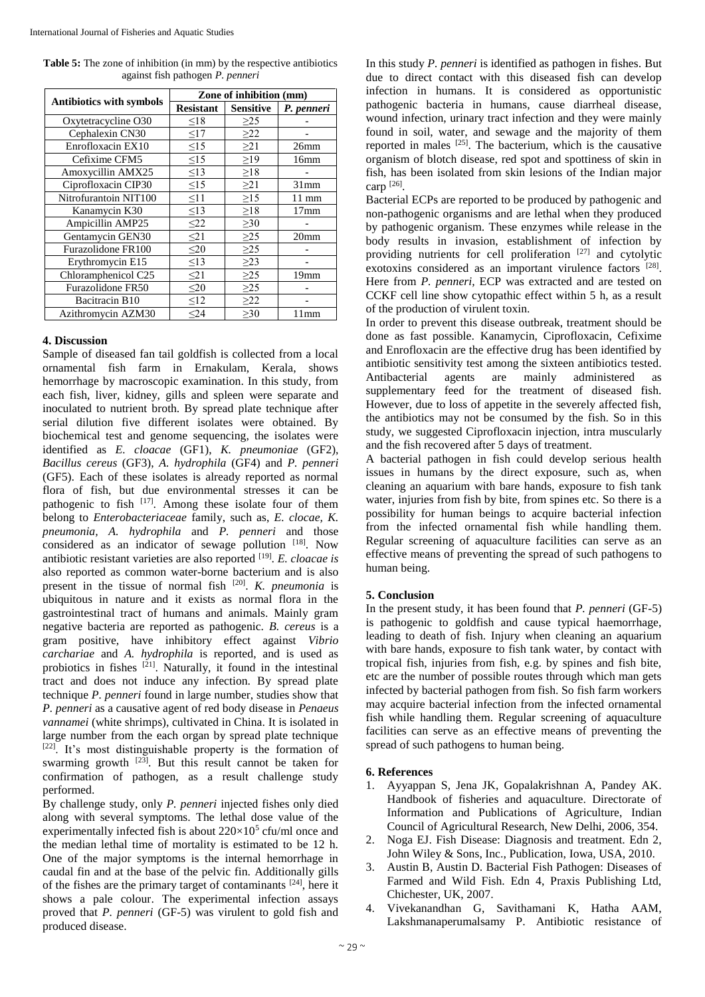**Table 5:** The zone of inhibition (in mm) by the respective antibiotics against fish pathogen *P. penneri*

| Antibiotics with symbols | Zone of inhibition (mm) |                  |                  |  |
|--------------------------|-------------------------|------------------|------------------|--|
|                          | <b>Resistant</b>        | <b>Sensitive</b> | P. penneri       |  |
| Oxytetracycline O30      | $\leq18$                | $\geq$ 25        |                  |  |
| Cephalexin CN30          | $\leq17$                | $\geq$ 22        |                  |  |
| Enrofloxacin EX10        | $\leq15$                | $\geq$ 21        | 26mm             |  |
| Cefixime CFM5            | $\leq15$                | $\geq$ 19        | 16mm             |  |
| Amoxycillin AMX25        | $\leq$ 13               | $\geq$ 18        |                  |  |
| Ciprofloxacin CIP30      | $\leq15$                | $\geq$ 21        | 31mm             |  |
| Nitrofurantoin NIT100    | $\leq11$                | $\geq$ 15        | $11 \text{ mm}$  |  |
| Kanamycin K30            | $\leq$ 13               | $\geq$ 18        | 17 <sub>mm</sub> |  |
| Ampicillin AMP25         | $\leq$ 22               | $\geq 30$        |                  |  |
| Gentamycin GEN30         | $\leq$ 21               | $\geq$ 25        | 20 <sub>mm</sub> |  |
| Furazolidone FR100       | $\leq 20$               | $\geq$ 25        |                  |  |
| Erythromycin E15         | $\leq$ 13               | $\geq$ 23        |                  |  |
| Chloramphenicol C25      | $\leq$ 21               | $\geq$ 25        | 19mm             |  |
| Furazolidone FR50        | $\leq$ 20               | $\geq$ 25        |                  |  |
| Bacitracin B10           | $\leq$ 12               | $\geq$ 22        |                  |  |
| Azithromycin AZM30       | $24$                    | $\geq 30$        | 11mm             |  |

#### **4. Discussion**

Sample of diseased fan tail goldfish is collected from a local ornamental fish farm in Ernakulam, Kerala, shows hemorrhage by macroscopic examination. In this study, from each fish, liver, kidney, gills and spleen were separate and inoculated to nutrient broth. By spread plate technique after serial dilution five different isolates were obtained. By biochemical test and genome sequencing, the isolates were identified as *E. cloacae* (GF1), *K. pneumoniae* (GF2), *Bacillus cereus* (GF3), *A. hydrophila* (GF4) and *P. penneri*  (GF5). Each of these isolates is already reported as normal flora of fish, but due environmental stresses it can be pathogenic to fish <sup>[17]</sup>. Among these isolate four of them belong to *Enterobacteriaceae* family, such as, *E. clocae, K. pneumonia, A. hydrophila* and *P. penneri* and those considered as an indicator of sewage pollution [18]. Now antibiotic resistant varieties are also reported [19] . *E. cloacae is* also reported as common water-borne bacterium and is also present in the tissue of normal fish [20] . *K. pneumonia* is ubiquitous in nature and it exists as normal flora in the gastrointestinal tract of humans and animals. Mainly gram negative bacteria are reported as pathogenic. *B. cereus* is a gram positive, have inhibitory effect against *Vibrio carchariae* and *A. hydrophila* is reported, and is used as probiotics in fishes  $[21]$ . Naturally, it found in the intestinal tract and does not induce any infection. By spread plate technique *P. penneri* found in large number, studies show that *P. penneri* as a causative agent of red body disease in *Penaeus vannamei* (white shrimps), cultivated in China. It is isolated in large number from the each organ by spread plate technique [22]. It's most distinguishable property is the formation of swarming growth  $[23]$ . But this result cannot be taken for confirmation of pathogen, as a result challenge study performed.

By challenge study, only *P. penneri* injected fishes only died along with several symptoms. The lethal dose value of the experimentally infected fish is about  $220 \times 10^5$  cfu/ml once and the median lethal time of mortality is estimated to be 12 h. One of the major symptoms is the internal hemorrhage in caudal fin and at the base of the pelvic fin. Additionally gills of the fishes are the primary target of contaminants [24], here it shows a pale colour. The experimental infection assays proved that *P. penneri* (GF-5) was virulent to gold fish and produced disease.

In this study *P. penneri* is identified as pathogen in fishes. But due to direct contact with this diseased fish can develop infection in humans. It is considered as opportunistic pathogenic bacteria in humans, cause diarrheal disease, wound infection, urinary tract infection and they were mainly found in soil, water, and sewage and the majority of them reported in males [25]. The bacterium, which is the causative organism of blotch disease, red spot and spottiness of skin in fish, has been isolated from skin lesions of the Indian major carp [26] .

Bacterial ECPs are reported to be produced by pathogenic and non-pathogenic organisms and are lethal when they produced by pathogenic organism. These enzymes while release in the body results in invasion, establishment of infection by providing nutrients for cell proliferation  $[27]$  and cytolytic exotoxins considered as an important virulence factors [28]. Here from *P. penneri,* ECP was extracted and are tested on CCKF cell line show cytopathic effect within 5 h, as a result of the production of virulent toxin.

In order to prevent this disease outbreak, treatment should be done as fast possible. Kanamycin, Ciprofloxacin, Cefixime and Enrofloxacin are the effective drug has been identified by antibiotic sensitivity test among the sixteen antibiotics tested. Antibacterial agents are mainly administered as supplementary feed for the treatment of diseased fish. However, due to loss of appetite in the severely affected fish, the antibiotics may not be consumed by the fish. So in this study, we suggested Ciprofloxacin injection, intra muscularly and the fish recovered after 5 days of treatment.

A bacterial pathogen in fish could develop serious health issues in humans by the direct exposure, such as, when cleaning an aquarium with bare hands, exposure to fish tank water, injuries from fish by bite, from spines etc. So there is a possibility for human beings to acquire bacterial infection from the infected ornamental fish while handling them. Regular screening of aquaculture facilities can serve as an effective means of preventing the spread of such pathogens to human being.

### **5. Conclusion**

In the present study, it has been found that *P. penneri* (GF-5) is pathogenic to goldfish and cause typical haemorrhage, leading to death of fish. Injury when cleaning an aquarium with bare hands, exposure to fish tank water, by contact with tropical fish, injuries from fish, e.g. by spines and fish bite, etc are the number of possible routes through which man gets infected by bacterial pathogen from fish. So fish farm workers may acquire bacterial infection from the infected ornamental fish while handling them. Regular screening of aquaculture facilities can serve as an effective means of preventing the spread of such pathogens to human being.

#### **6. References**

- 1. Ayyappan S, Jena JK, Gopalakrishnan A, Pandey AK. Handbook of fisheries and aquaculture. Directorate of Information and Publications of Agriculture, Indian Council of Agricultural Research, New Delhi, 2006, 354.
- 2. Noga EJ. Fish Disease: Diagnosis and treatment. Edn 2, John Wiley & Sons, Inc., Publication, Iowa, USA, 2010.
- 3. Austin B, Austin D. Bacterial Fish Pathogen: Diseases of Farmed and Wild Fish. Edn 4, Praxis Publishing Ltd, Chichester, UK, 2007.
- 4. Vivekanandhan G, Savithamani K, Hatha AAM, Lakshmanaperumalsamy P. Antibiotic resistance of